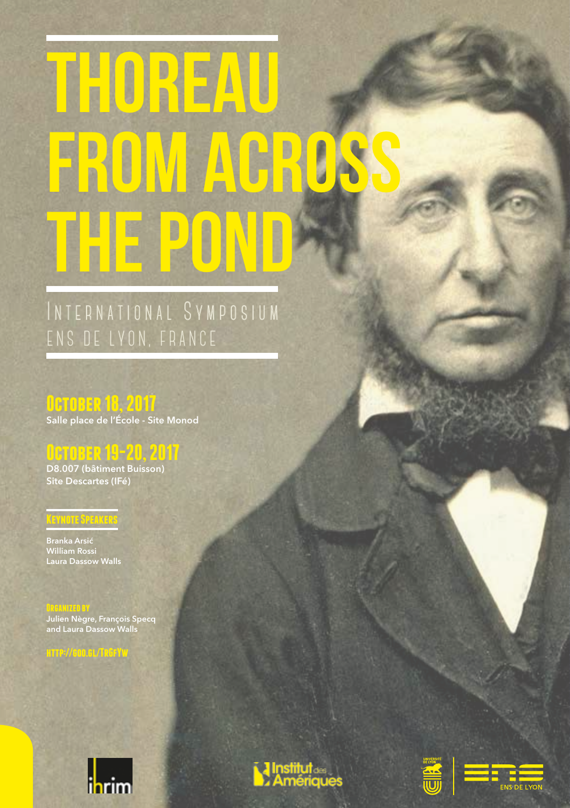# **Thoreau from across the pond**

## International Symposium ENS DE LYON, FRANCE

**October 18, 2017** Salle place de l'École - Site Monod

## **October 19-20, 2017**

D8.007 (bâtiment Buisson) Site Descartes (IFé)

Branka Arsić William Rossi Laura Dassow Walls

**Keynote Speakers**

<mark>0R6ANIZED BY</mark><br>Julien Nègre, François Specq<br>and Laura Dassow Walls







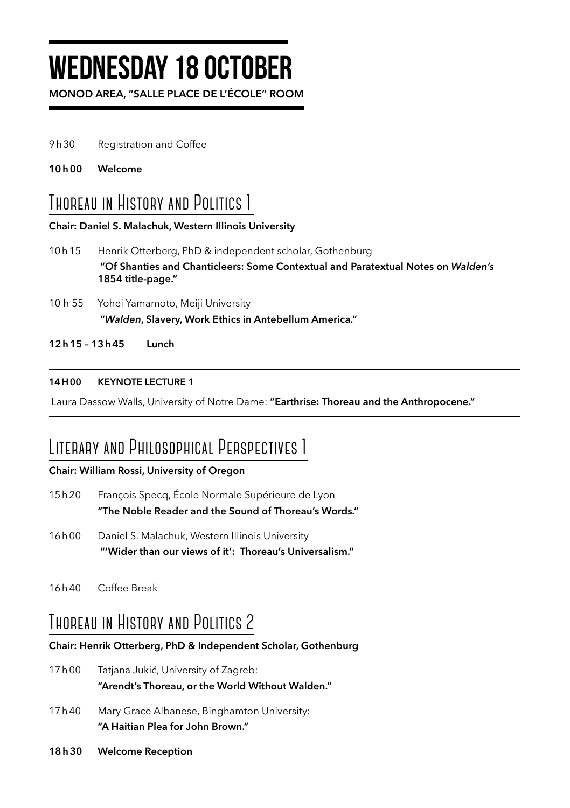## **Wednesday 18 October**

MONOD AREA, "SALLE PLACE DE L'ÉCOLE" ROOM

- 9h30 Registration and Coffee
- 10h00 Welcome

## **Thoreau in History and Politics 1**

#### Chair: Daniel S. Malachuk, Western Illinois University

- 10h15 Henrik Otterberg, PhD & independent scholar, Gothenburg "Of Shanties and Chanticleers: Some Contextual and Paratextual Notes on *Walden's* 1854 title-page."
- 10 h 55 Yohei Yamamoto, Meiji University "*Walden*, Slavery, Work Ethics in Antebellum America."

12h15 – 13h45 Lunch

#### 14H00 KEYNOTE LECTURE 1

Laura Dassow Walls, University of Notre Dame: "Earthrise: Thoreau and the Anthropocene."

## **Literary and Philosophical Perspectives 1**

#### Chair: William Rossi, University of Oregon

- 15h20 François Specq, École Normale Supérieure de Lyon "The Noble Reader and the Sound of Thoreau's Words."
- 16h00 Daniel S. Malachuk, Western Illinois University "'Wider than our views of it': Thoreau's Universalism."
- 16h40 Coffee Break

## **Thoreau in History and Politics 2**

#### Chair: Henrik Otterberg, PhD & Independent Scholar, Gothenburg

- 17h00 Tatjana Jukić, University of Zagreb: "Arendt's Thoreau, or the World Without Walden."
- 17h40 Mary Grace Albanese, Binghamton University: "A Haitian Plea for John Brown."
- 18h30 Welcome Reception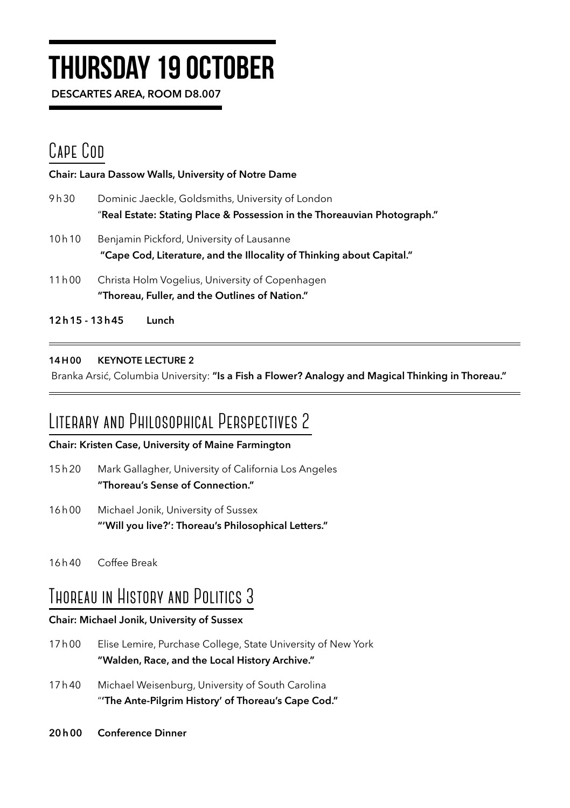# **Thursday 19 October**

DESCARTES AREA, ROOM D8.007

## CAPE Con

Chair: Laura Dassow Walls, University of Notre Dame 9h30 Dominic Jaeckle, Goldsmiths, University of London "Real Estate: Stating Place & Possession in the Thoreauvian Photograph." 10h10 Benjamin Pickford, University of Lausanne "Cape Cod, Literature, and the Illocality of Thinking about Capital."

- 11h00 Christa Holm Vogelius, University of Copenhagen "Thoreau, Fuller, and the Outlines of Nation."
- 12h15 13h45 Lunch

#### 14H00 KEYNOTE LECTURE 2

Branka Arsić, Columbia University: "Is a Fish a Flower? Analogy and Magical Thinking in Thoreau."

## **Literary and Philosophical Perspectives 2**

#### Chair: Kristen Case, University of Maine Farmington

- 15h20 Mark Gallagher, University of California Los Angeles "Thoreau's Sense of Connection."
- 16h00 Michael Jonik, University of Sussex "'Will you live?': Thoreau's Philosophical Letters."
- 16h40 Coffee Break

## **Thoreau in History and Politics 3**

#### Chair: Michael Jonik, University of Sussex

- 17h00 Elise Lemire, Purchase College, State University of New York "Walden, Race, and the Local History Archive."
- 17h40 Michael Weisenburg, University of South Carolina "'The Ante-Pilgrim History' of Thoreau's Cape Cod."
- 20h00 Conference Dinner